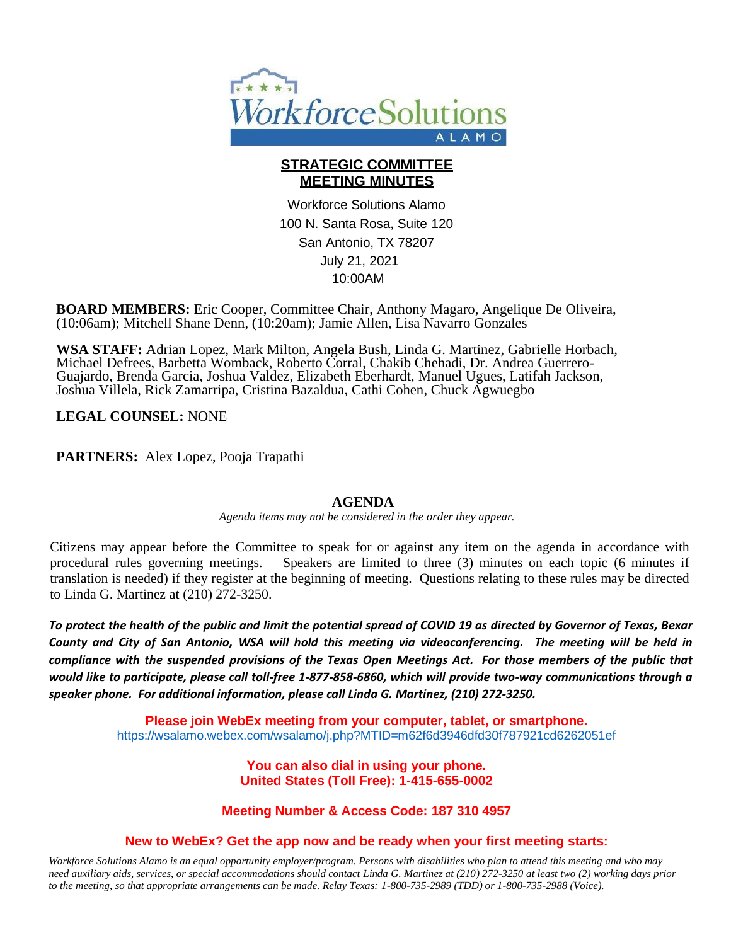

## **STRATEGIC COMMITTEE MEETING MINUTES**

Workforce Solutions Alamo 100 N. Santa Rosa, Suite 120 San Antonio, TX 78207 July 21, 2021 10:00AM

**BOARD MEMBERS:** Eric Cooper, Committee Chair, Anthony Magaro, Angelique De Oliveira, (10:06am); Mitchell Shane Denn, (10:20am); Jamie Allen, Lisa Navarro Gonzales

**WSA STAFF:** Adrian Lopez, Mark Milton, Angela Bush, Linda G. Martinez, Gabrielle Horbach, Michael Defrees, Barbetta Womback, Roberto Corral, Chakib Chehadi, Dr. Andrea Guerrero-Guajardo, Brenda Garcia, Joshua Valdez, Elizabeth Eberhardt, Manuel Ugues, Latifah Jackson, Joshua Villela, Rick Zamarripa, Cristina Bazaldua, Cathi Cohen, Chuck Agwuegbo

**LEGAL COUNSEL:** NONE

**PARTNERS:** Alex Lopez, Pooja Trapathi

#### **AGENDA**

*Agenda items may not be considered in the order they appear.*

Citizens may appear before the Committee to speak for or against any item on the agenda in accordance with procedural rules governing meetings. Speakers are limited to three (3) minutes on each topic (6 minutes if translation is needed) if they register at the beginning of meeting. Questions relating to these rules may be directed to Linda G. Martinez at (210) 272-3250.

To protect the health of the public and limit the potential spread of COVID 19 as directed by Governor of Texas, Bexar *County and City of San Antonio, WSA will hold this meeting via videoconferencing. The meeting will be held in*  compliance with the suspended provisions of the Texas Open Meetings Act. For those members of the public that *would like to participate, please call toll-free 1-877-858-6860, which will provide two-way communications through a speaker phone. For additional information, please call Linda G. Martinez, (210) 272-3250.*

> **Please join WebEx meeting from your computer, tablet, or smartphone.** <https://wsalamo.webex.com/wsalamo/j.php?MTID=m62f6d3946dfd30f787921cd6262051ef>

> > **You can also dial in using your phone. United States (Toll Free): 1-415-655-0002**

**Meeting Number & Access Code: 187 310 4957**

#### **New to WebEx? Get the app now and be ready when your first meeting starts:**

Workforce Solutions Alamo is an equal opportunity employer/program. Persons with disabilities who plan to attend this meeting and who may need auxiliary aids, services, or special accommodations should contact Linda G. Martinez at (210) 272-3250 at least two (2) working days prior *to the meeting, so that appropriate arrangements can be made. Relay Texas: 1-800-735-2989 (TDD) or 1-800-735-2988 (Voice).*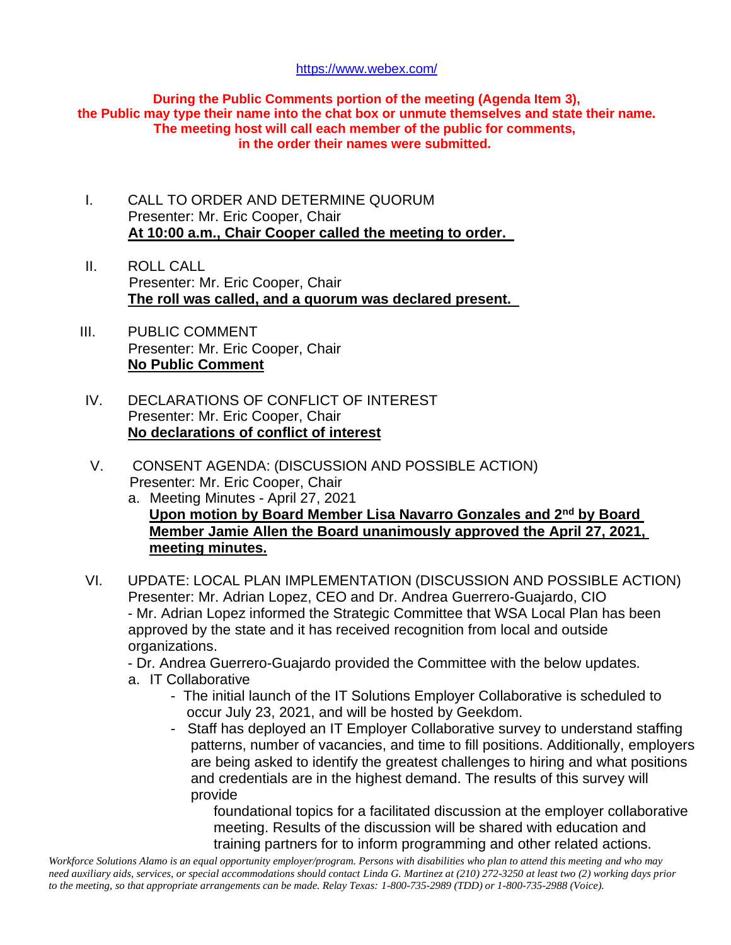### <https://www.webex.com/>

**During the Public Comments portion of the meeting (Agenda Item 3), the Public may type their name into the chat box or unmute themselves and state their name. The meeting host will call each member of the public for comments, in the order their names were submitted.**

- I. CALL TO ORDER AND DETERMINE QUORUM Presenter: Mr. Eric Cooper, Chair **At 10:00 a.m., Chair Cooper called the meeting to order.**
- II. ROLL CALL Presenter: Mr. Eric Cooper, Chair **The roll was called, and a quorum was declared present.**
- III. PUBLIC COMMENT Presenter: Mr. Eric Cooper, Chair **No Public Comment**
- IV. DECLARATIONS OF CONFLICT OF INTEREST Presenter: Mr. Eric Cooper, Chair **No declarations of conflict of interest**
- V. CONSENT AGENDA: (DISCUSSION AND POSSIBLE ACTION) Presenter: Mr. Eric Cooper, Chair
	- a. Meeting Minutes April 27, 2021 **Upon motion by Board Member Lisa Navarro Gonzales and 2nd by Board Member Jamie Allen the Board unanimously approved the April 27, 2021, meeting minutes.**
- VI. UPDATE: LOCAL PLAN IMPLEMENTATION (DISCUSSION AND POSSIBLE ACTION) Presenter: Mr. Adrian Lopez, CEO and Dr. Andrea Guerrero-Guajardo, CIO - Mr. Adrian Lopez informed the Strategic Committee that WSA Local Plan has been approved by the state and it has received recognition from local and outside organizations.
	- Dr. Andrea Guerrero-Guajardo provided the Committee with the below updates.
	- a. IT Collaborative
		- The initial launch of the IT Solutions Employer Collaborative is scheduled to occur July 23, 2021, and will be hosted by Geekdom.
		- Staff has deployed an IT Employer Collaborative survey to understand staffing patterns, number of vacancies, and time to fill positions. Additionally, employers are being asked to identify the greatest challenges to hiring and what positions and credentials are in the highest demand. The results of this survey will provide

 foundational topics for a facilitated discussion at the employer collaborative meeting. Results of the discussion will be shared with education and training partners for to inform programming and other related actions.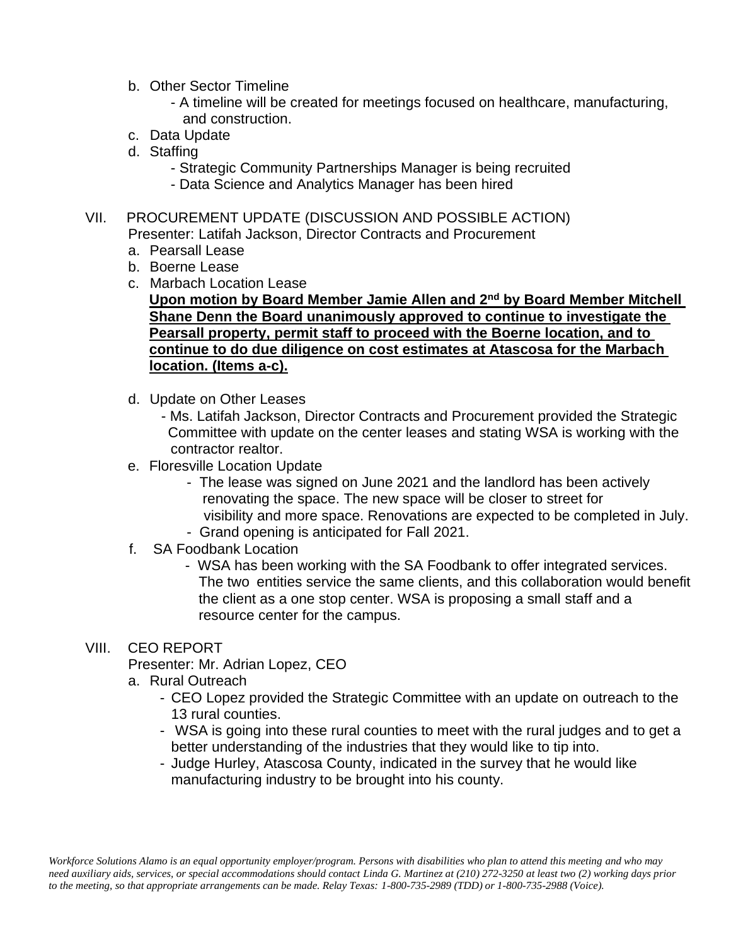- b. Other Sector Timeline
	- A timeline will be created for meetings focused on healthcare, manufacturing, and construction.
- c. Data Update
- d. Staffing
	- Strategic Community Partnerships Manager is being recruited
	- Data Science and Analytics Manager has been hired
- VII. PROCUREMENT UPDATE (DISCUSSION AND POSSIBLE ACTION)
	- Presenter: Latifah Jackson, Director Contracts and Procurement
	- a. Pearsall Lease
	- b. Boerne Lease
	- c. Marbach Location Lease
		- **Upon motion by Board Member Jamie Allen and 2nd by Board Member Mitchell Shane Denn the Board unanimously approved to continue to investigate the Pearsall property, permit staff to proceed with the Boerne location, and to continue to do due diligence on cost estimates at Atascosa for the Marbach location. (Items a-c).**
	- d. Update on Other Leases
		- Ms. Latifah Jackson, Director Contracts and Procurement provided the Strategic Committee with update on the center leases and stating WSA is working with the contractor realtor.
	- e. Floresville Location Update
		- The lease was signed on June 2021 and the landlord has been actively renovating the space. The new space will be closer to street for visibility and more space. Renovations are expected to be completed in July. - Grand opening is anticipated for Fall 2021.
	- f. SA Foodbank Location
		- WSA has been working with the SA Foodbank to offer integrated services. The two entities service the same clients, and this collaboration would benefit the client as a one stop center. WSA is proposing a small staff and a resource center for the campus.
- VIII. CEO REPORT

Presenter: Mr. Adrian Lopez, CEO

- a. Rural Outreach
	- CEO Lopez provided the Strategic Committee with an update on outreach to the 13 rural counties.
	- WSA is going into these rural counties to meet with the rural judges and to get a better understanding of the industries that they would like to tip into.
	- Judge Hurley, Atascosa County, indicated in the survey that he would like manufacturing industry to be brought into his county.

Workforce Solutions Alamo is an equal opportunity employer/program. Persons with disabilities who plan to attend this meeting and who may need auxiliary aids, services, or special accommodations should contact Linda G. Martinez at (210) 272-3250 at least two (2) working days prior *to the meeting, so that appropriate arrangements can be made. Relay Texas: 1-800-735-2989 (TDD) or 1-800-735-2988 (Voice).*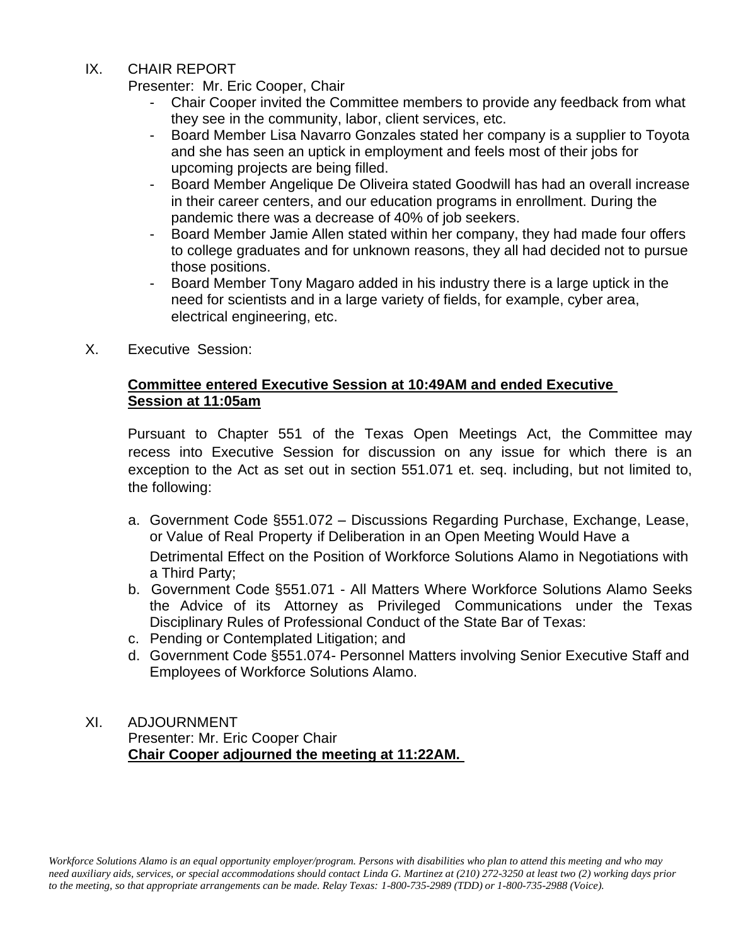# IX. CHAIR REPORT

Presenter: Mr. Eric Cooper, Chair

- Chair Cooper invited the Committee members to provide any feedback from what they see in the community, labor, client services, etc.
- Board Member Lisa Navarro Gonzales stated her company is a supplier to Toyota and she has seen an uptick in employment and feels most of their jobs for upcoming projects are being filled.
- Board Member Angelique De Oliveira stated Goodwill has had an overall increase in their career centers, and our education programs in enrollment. During the pandemic there was a decrease of 40% of job seekers.
- Board Member Jamie Allen stated within her company, they had made four offers to college graduates and for unknown reasons, they all had decided not to pursue those positions.
- Board Member Tony Magaro added in his industry there is a large uptick in the need for scientists and in a large variety of fields, for example, cyber area, electrical engineering, etc.
- X. Executive Session:

# **Committee entered Executive Session at 10:49AM and ended Executive Session at 11:05am**

Pursuant to Chapter 551 of the Texas Open Meetings Act, the Committee may recess into Executive Session for discussion on any issue for which there is an exception to the Act as set out in section 551.071 et. seq. including, but not limited to, the following:

- a. Government Code §551.072 Discussions Regarding Purchase, Exchange, Lease, or Value of Real Property if Deliberation in an Open Meeting Would Have a Detrimental Effect on the Position of Workforce Solutions Alamo in Negotiations with a Third Party;
- b. Government Code §551.071 All Matters Where Workforce Solutions Alamo Seeks the Advice of its Attorney as Privileged Communications under the Texas Disciplinary Rules of Professional Conduct of the State Bar of Texas:
- c. Pending or Contemplated Litigation; and
- d. Government Code §551.074- Personnel Matters involving Senior Executive Staff and Employees of Workforce Solutions Alamo.

# XI. ADJOURNMENT Presenter: Mr. Eric Cooper Chair **Chair Cooper adjourned the meeting at 11:22AM.**